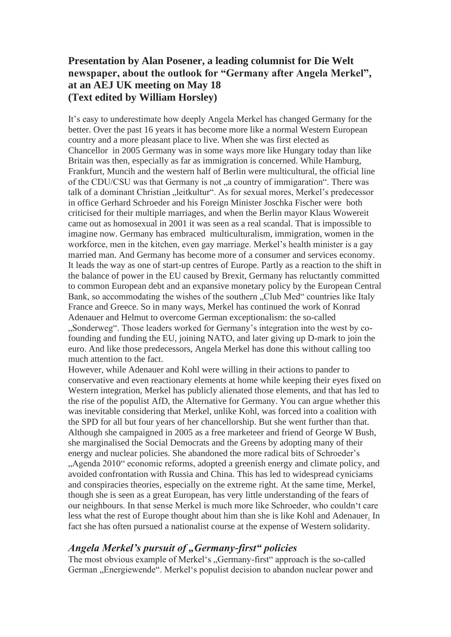# **Presentation by Alan Posener, a leading columnist for Die Welt newspaper, about the outlook for "Germany after Angela Merkel", at an AEJ UK meeting on May 18 (Text edited by William Horsley)**

It's easy to underestimate how deeply Angela Merkel has changed Germany for the better. Over the past 16 years it has become more like a normal Western European country and a more pleasant place to live. When she was first elected as Chancellor in 2005 Germany was in some ways more like Hungary today than like Britain was then, especially as far as immigration is concerned. While Hamburg, Frankfurt, Muncih and the western half of Berlin were multicultural, the official line of the CDU/CSU was that Germany is not "a country of immigaration". There was talk of a dominant Christian "leitkultur". As for sexual mores, Merkel's predecessor in office Gerhard Schroeder and his Foreign Minister Joschka Fischer were both criticised for their multiple marriages, and when the Berlin mayor Klaus Wowereit came out as homosexual in 2001 it was seen as a real scandal. That is impossible to imagine now. Germany has embraced multiculturalism, immigration, women in the workforce, men in the kitchen, even gay marriage. Merkel's health minister is a gay married man. And Germany has become more of a consumer and services economy. It leads the way as one of start-up centres of Europe. Partly as a reaction to the shift in the balance of power in the EU caused by Brexit, Germany has reluctantly committed to common European debt and an expansive monetary policy by the European Central Bank, so accommodating the wishes of the southern "Club Med" countries like Italy France and Greece. So in many ways, Merkel has continued the work of Konrad Adenauer and Helmut to overcome German exceptionalism: the so-called ..Sonderweg". Those leaders worked for Germany's integration into the west by cofounding and funding the EU, joining NATO, and later giving up D-mark to join the euro. And like those predecessors, Angela Merkel has done this without calling too much attention to the fact.

However, while Adenauer and Kohl were willing in their actions to pander to conservative and even reactionary elements at home while keeping their eyes fixed on Western integration, Merkel has publicly alienated those elements, and that has led to the rise of the populist AfD, the Alternative for Germany. You can argue whether this was inevitable considering that Merkel, unlike Kohl, was forced into a coalition with the SPD for all but four years of her chancellorship. But she went further than that. Although she campaigned in 2005 as a free marketeer and friend of George W Bush, she marginalised the Social Democrats and the Greens by adopting many of their energy and nuclear policies. She abandoned the more radical bits of Schroeder's "Agenda 2010" economic reforms, adopted a greenish energy and climate policy, and avoided confrontation with Russia and China. This has led to widespread cyniciams and conspiracies theories, especially on the extreme right. At the same time, Merkel, though she is seen as a great European, has very little understanding of the fears of our neighbours. In that sense Merkel is much more like Schroeder, who couldn't care less what the rest of Europe thought about him than she is like Kohl and Adenauer. In fact she has often pursued a nationalist course at the expense of Western solidarity.

#### *Angela Merkel's pursuit of "Germany-first" policies*

The most obvious example of Merkel's "Germany-first" approach is the so-called German "Energiewende". Merkel's populist decision to abandon nuclear power and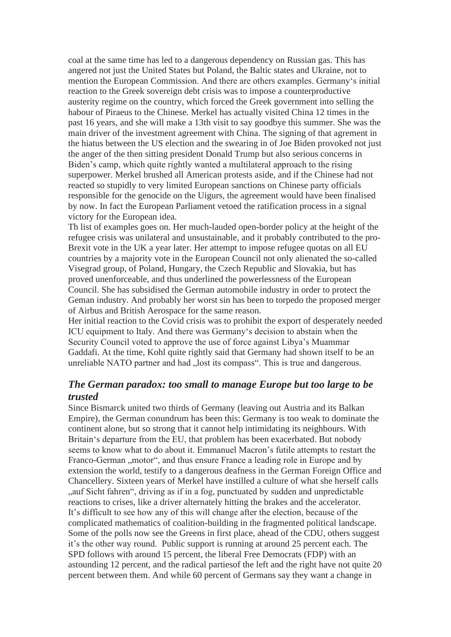coal at the same time has led to a dangerous dependency on Russian gas. This has angered not just the United States but Poland, the Baltic states and Ukraine, not to mention the European Commission. And there are others examples. Germany's initial reaction to the Greek sovereign debt crisis was to impose a counterproductive austerity regime on the country, which forced the Greek government into selling the habour of Piraeus to the Chinese. Merkel has actually visited China 12 times in the past 16 years, and she will make a 13th visit to say goodbye this summer. She was the main driver of the investment agreement with China. The signing of that agrement in the hiatus between the US election and the swearing in of Joe Biden provoked not just the anger of the then sitting president Donald Trump but also serious concerns in Biden's camp, which quite rightly wanted a multilateral approach to the rising superpower. Merkel brushed all American protests aside, and if the Chinese had not reacted so stupidly to very limited European sanctions on Chinese party officials responsible for the genocide on the Uigurs, the agreement would have been finalised by now. In fact the European Parliament vetoed the ratification process in a signal victory for the European idea.

Th list of examples goes on. Her much-lauded open-border policy at the height of the refugee crisis was unilateral and unsustainable, and it probably contributed to the pro-Brexit vote in the UK a year later. Her attempt to impose refugee quotas on all EU countries by a majority vote in the European Council not only alienated the so-called Visegrad group, of Poland, Hungary, the Czech Republic and Slovakia, but has proved unenforceable, and thus underlined the powerlessness of the European Council. She has subsidised the German automobile industry in order to protect the Geman industry. And probably her worst sin has been to torpedo the proposed merger of Airbus and British Aerospace for the same reason.

Her initial reaction to the Covid crisis was to prohibit the export of desperately needed ICU equipment to Italy. And there was Germany's decision to abstain when the Security Council voted to approve the use of force against Libya's Muammar Gaddafi. At the time, Kohl quite rightly said that Germany had shown itself to be an unreliable NATO partner and had "lost its compass". This is true and dangerous.

## *The German paradox: too small to manage Europe but too large to be trusted*

Since Bismarck united two thirds of Germany (leaving out Austria and its Balkan Empire), the German conundrum has been this: Germany is too weak to dominate the continent alone, but so strong that it cannot help intimidating its neighbours. With Britain's departure from the EU, that problem has been exacerbated. But nobody seems to know what to do about it. Emmanuel Macron's futile attempts to restart the Franco-German ... motor", and thus ensure France a leading role in Europe and by extension the world, testify to a dangerous deafness in the German Foreign Office and Chancellery. Sixteen years of Merkel have instilled a culture of what she herself calls ", auf Sicht fahren", driving as if in a fog, punctuated by sudden and unpredictable reactions to crises, like a driver alternately hitting the brakes and the accelerator. It's difficult to see how any of this will change after the election, because of the complicated mathematics of coalition-building in the fragmented political landscape. Some of the polls now see the Greens in first place, ahead of the CDU, others suggest it's the other way round. Public support is running at around 25 percent each. The SPD follows with around 15 percent, the liberal Free Democrats (FDP) with an astounding 12 percent, and the radical partiesof the left and the right have not quite 20 percent between them. And while 60 percent of Germans say they want a change in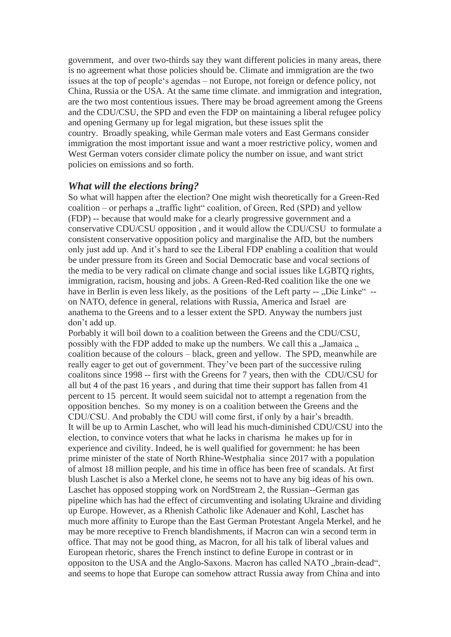government, and over two-thirds say they want different policies in many areas, there is no agreement what those policies should be. Climate and immigration are the two issues at the top of people's agendas – not Europe, not foreign or defence policy, not China, Russia or the USA. At the same time climate. and immigration and integration, are the two most contentious issues. There may be broad agreement among the Greens and the CDU/CSU, the SPD and even the FDP on maintaining a liberal refugee policy and opening Germany up for legal migration, but these issues split the country. Broadly speaking, while German male voters and East Germans consider immigration the most important issue and want a moer restrictive policy, women and West German voters consider climate policy the number on issue, and want strict policies on emissions and so forth.

#### *What will the elections bring?*

So what will happen after the election? One might wish theoretically for a Green-Red  $\alpha$  coalition – or perhaps a "traffic light" coalition, of Green, Red (SPD) and yellow (FDP) -- because that would make for a clearly progressive government and a conservative CDU/CSU opposition , and it would allow the CDU/CSU to formulate a consistent conservative opposition policy and marginalise the AfD, but the numbers only just add up. And it's hard to see the Liberal FDP enabling a coalition that would be under pressure from its Green and Social Democratic base and vocal sections of the media to be very radical on climate change and social issues like LGBTQ rights, immigration, racism, housing and jobs. A Green-Red-Red coalition like the one we have in Berlin is even less likely, as the positions of the Left party -- "Die Linke" -on NATO, defence in general, relations with Russia, America and Israel are anathema to the Greens and to a lesser extent the SPD. Anyway the numbers just don't add up.

Porbably it will boil down to a coalition between the Greens and the CDU/CSU, possibly with the FDP added to make up the numbers. We call this a "Jamaica ... coalition because of the colours – black, green and yellow. The SPD, meanwhile are really eager to get out of government. They've been part of the successive ruling coalitons since 1998 -- first with the Greens for 7 years, then with the CDU/CSU for all but 4 of the past 16 years , and during that time their support has fallen from 41 percent to 15 percent. It would seem suicidal not to attempt a regenation from the opposition benches. So my money is on a coalition between the Greens and the CDU/CSU. And probably the CDU will come first, if only by a hair's breadth. It will be up to Armin Laschet, who will lead his much-diminished CDU/CSU into the election, to convince voters that what he lacks in charisma he makes up for in experience and civility. Indeed, he is well qualified for government: he has been prime minister of the state of North Rhine-Westphalia since 2017 with a population of almost 18 million people, and his time in office has been free of scandals. At first blush Laschet is also a Merkel clone, he seems not to have any big ideas of his own. Laschet has opposed stopping work on NordStream 2, the Russian--German gas pipeline which has had the effect of circumventing and isolating Ukraine and dividing up Europe. However, as a Rhenish Catholic like Adenauer and Kohl, Laschet has much more affinity to Europe than the East German Protestant Angela Merkel, and he may be more receptive to French blandishments, if Macron can win a second term in office. That may not be good thing, as Macron, for all his talk of liberal values and European rhetoric, shares the French instinct to define Europe in contrast or in oppositon to the USA and the Anglo-Saxons. Macron has called NATO "brain-dead", and seems to hope that Europe can somehow attract Russia away from China and into